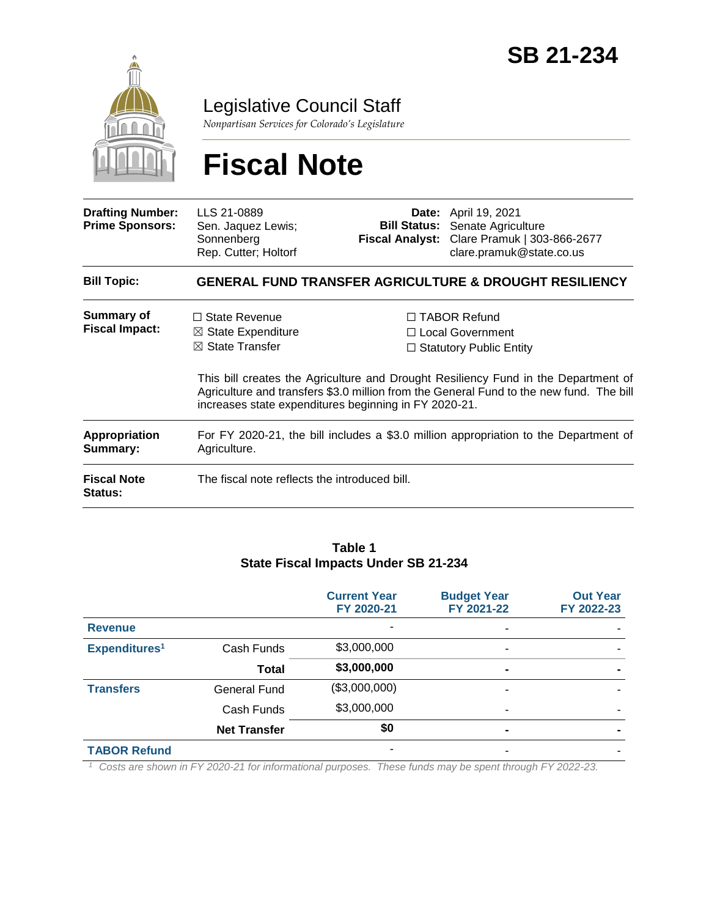

Legislative Council Staff

*Nonpartisan Services for Colorado's Legislature*

# **Fiscal Note**

| <b>Drafting Number:</b><br><b>Prime Sponsors:</b> | LLS 21-0889<br>Sen. Jaquez Lewis;<br>Sonnenberg<br>Rep. Cutter; Holtorf                                                                          |  | <b>Date:</b> April 19, 2021<br><b>Bill Status:</b> Senate Agriculture<br>Fiscal Analyst: Clare Pramuk   303-866-2677<br>clare.pramuk@state.co.us                  |  |  |
|---------------------------------------------------|--------------------------------------------------------------------------------------------------------------------------------------------------|--|-------------------------------------------------------------------------------------------------------------------------------------------------------------------|--|--|
| <b>Bill Topic:</b>                                | <b>GENERAL FUND TRANSFER AGRICULTURE &amp; DROUGHT RESILIENCY</b>                                                                                |  |                                                                                                                                                                   |  |  |
| Summary of<br><b>Fiscal Impact:</b>               | $\Box$ State Revenue<br>$\boxtimes$ State Expenditure<br>$\boxtimes$ State Transfer                                                              |  | $\Box$ TABOR Refund<br>□ Local Government<br>$\Box$ Statutory Public Entity<br>This bill creates the Agriculture and Drought Resiliency Fund in the Department of |  |  |
|                                                   | Agriculture and transfers \$3.0 million from the General Fund to the new fund. The bill<br>increases state expenditures beginning in FY 2020-21. |  |                                                                                                                                                                   |  |  |
| <b>Appropriation</b><br>Summary:                  | For FY 2020-21, the bill includes a \$3.0 million appropriation to the Department of<br>Agriculture.                                             |  |                                                                                                                                                                   |  |  |
| <b>Fiscal Note</b><br><b>Status:</b>              | The fiscal note reflects the introduced bill.                                                                                                    |  |                                                                                                                                                                   |  |  |

#### **Table 1 State Fiscal Impacts Under SB 21-234**

|                           |                     | <b>Current Year</b><br>FY 2020-21 | <b>Budget Year</b><br>FY 2021-22 | <b>Out Year</b><br>FY 2022-23 |
|---------------------------|---------------------|-----------------------------------|----------------------------------|-------------------------------|
| <b>Revenue</b>            |                     | ٠                                 | $\overline{\phantom{a}}$         |                               |
| Expenditures <sup>1</sup> | Cash Funds          | \$3,000,000                       | $\blacksquare$                   |                               |
|                           | <b>Total</b>        | \$3,000,000                       | ٠                                |                               |
| <b>Transfers</b>          | General Fund        | (\$3,000,000)                     | ۰                                |                               |
|                           | Cash Funds          | \$3,000,000                       | $\overline{\phantom{a}}$         |                               |
|                           | <b>Net Transfer</b> | \$0                               | $\blacksquare$                   |                               |
| <b>TABOR Refund</b>       |                     | ٠                                 |                                  |                               |
|                           | $\sim$ $\sim$       | $-$<br>$\sim$<br>$\sim$           | $\sim$<br>$-1$<br>$\overline{z}$ | $1 \pm 110000000$             |

*<sup>1</sup> Costs are shown in FY 2020-21 for informational purposes. These funds may be spent through FY 2022-23.*